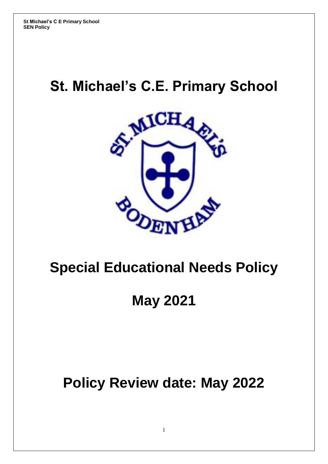# **St. Michael's C.E. Primary School**



# **Special Educational Needs Policy**

# **May 2021**

# **Policy Review date: May 2022**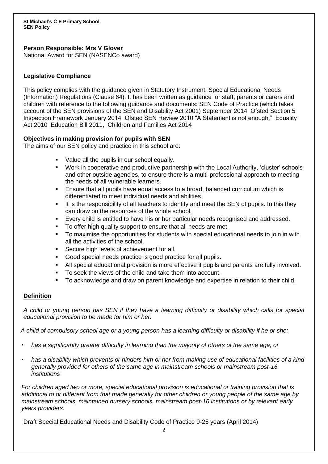## **Person Responsible: Mrs V Glover**

National Award for SEN (NASENCo award)

## **Legislative Compliance**

This policy complies with the guidance given in Statutory Instrument: Special Educational Needs (Information) Regulations (Clause 64). It has been written as guidance for staff, parents or carers and children with reference to the following guidance and documents: SEN Code of Practice (which takes account of the SEN provisions of the SEN and Disability Act 2001) September 2014 Ofsted Section 5 Inspection Framework January 2014 Ofsted SEN Review 2010 "A Statement is not enough," Equality Act 2010 Education Bill 2011, Children and Families Act 2014

# **Objectives in making provision for pupils with SEN**

The aims of our SEN policy and practice in this school are:

- Value all the pupils in our school equally.
- Work in cooperative and productive partnership with the Local Authority, 'cluster' schools and other outside agencies, to ensure there is a multi-professional approach to meeting the needs of all vulnerable learners.
- Ensure that all pupils have equal access to a broad, balanced curriculum which is differentiated to meet individual needs and abilities.
- It is the responsibility of all teachers to identify and meet the SEN of pupils. In this they can draw on the resources of the whole school.
- Every child is entitled to have his or her particular needs recognised and addressed.
- To offer high quality support to ensure that all needs are met.
- To maximise the opportunities for students with special educational needs to join in with all the activities of the school.
- Secure high levels of achievement for all.
- Good special needs practice is good practice for all pupils.
- All special educational provision is more effective if pupils and parents are fully involved.
- To seek the views of the child and take them into account.
- To acknowledge and draw on parent knowledge and expertise in relation to their child.

# **Definition**

*A child or young person has SEN if they have a learning difficulty or disability which calls for special educational provision to be made for him or her.* 

 *A child of compulsory school age or a young person has a learning difficulty or disability if he or she:* 

- *has a significantly greater difficulty in learning than the majority of others of the same age, or*
- *has a disability which prevents or hinders him or her from making use of educational facilities of a kind generally provided for others of the same age in mainstream schools or mainstream post-16 institutions*

*For children aged two or more, special educational provision is educational or training provision that is additional to or different from that made generally for other children or young people of the same age by mainstream schools, maintained nursery schools, mainstream post-16 institutions or by relevant early years providers.* 

Draft Special Educational Needs and Disability Code of Practice 0-25 years (April 2014)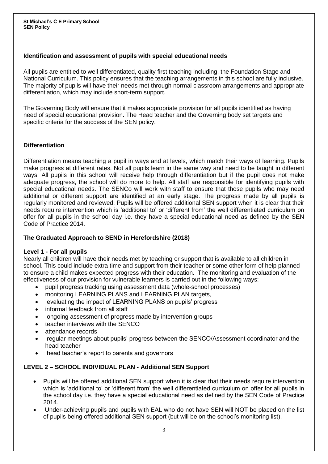# **Identification and assessment of pupils with special educational needs**

All pupils are entitled to well differentiated, quality first teaching including, the Foundation Stage and National Curriculum. This policy ensures that the teaching arrangements in this school are fully inclusive. The majority of pupils will have their needs met through normal classroom arrangements and appropriate differentiation, which may include short-term support.

The Governing Body will ensure that it makes appropriate provision for all pupils identified as having need of special educational provision. The Head teacher and the Governing body set targets and specific criteria for the success of the SEN policy.

## **Differentiation**

Differentiation means teaching a pupil in ways and at levels, which match their ways of learning. Pupils make progress at different rates. Not all pupils learn in the same way and need to be taught in different ways. All pupils in this school will receive help through differentiation but if the pupil does not make adequate progress, the school will do more to help. All staff are responsible for identifying pupils with special educational needs. The SENCo will work with staff to ensure that those pupils who may need additional or different support are identified at an early stage. The progress made by all pupils is regularly monitored and reviewed. Pupils will be offered additional SEN support when it is clear that their needs require intervention which is 'additional to' or 'different from' the well differentiated curriculum on offer for all pupils in the school day i.e. they have a special educational need as defined by the SEN Code of Practice 2014.

## **The Graduated Approach to SEND in Herefordshire (2018)**

## **Level 1 - For all pupils**

Nearly all children will have their needs met by teaching or support that is available to all children in school. This could include extra time and support from their teacher or some other form of help planned to ensure a child makes expected progress with their education. The monitoring and evaluation of the effectiveness of our provision for vulnerable learners is carried out in the following ways:

- pupil progress tracking using assessment data (whole-school processes)
- monitoring LEARNING PLANS and LEARNING PLAN targets,
- evaluating the impact of LEARNING PLANS on pupils' progress
- informal feedback from all staff
- ongoing assessment of progress made by intervention groups
- teacher interviews with the SENCO
- attendance records
- regular meetings about pupils' progress between the SENCO/Assessment coordinator and the head teacher
- head teacher's report to parents and governors

# **LEVEL 2 – SCHOOL INDIVIDUAL PLAN - Additional SEN Support**

- Pupils will be offered additional SEN support when it is clear that their needs require intervention which is 'additional to' or 'different from' the well differentiated curriculum on offer for all pupils in the school day i.e. they have a special educational need as defined by the SEN Code of Practice 2014.
- Under-achieving pupils and pupils with EAL who do not have SEN will NOT be placed on the list of pupils being offered additional SEN support (but will be on the school's monitoring list).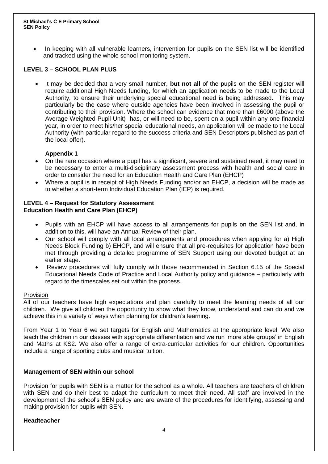In keeping with all vulnerable learners, intervention for pupils on the SEN list will be identified and tracked using the whole school monitoring system.

## **LEVEL 3 – SCHOOL PLAN PLUS**

 It may be decided that a very small number, **but not all** of the pupils on the SEN register will require additional High Needs funding, for which an application needs to be made to the Local Authority, to ensure their underlying special educational need is being addressed. This may particularly be the case where outside agencies have been involved in assessing the pupil or contributing to their provision. Where the school can evidence that more than £6000 (above the Average Weighted Pupil Unit) has, or will need to be, spent on a pupil within any one financial year, in order to meet his/her special educational needs, an application will be made to the Local Authority (with particular regard to the success criteria and SEN Descriptors published as part of the local offer).

# **Appendix 1**

- On the rare occasion where a pupil has a significant, severe and sustained need, it may need to be necessary to enter a multi-disciplinary assessment process with health and social care in order to consider the need for an Education Health and Care Plan (EHCP)
- Where a pupil is in receipt of High Needs Funding and/or an EHCP, a decision will be made as to whether a short-term Individual Education Plan (IEP) is required.

## **LEVEL 4 – Request for Statutory Assessment Education Health and Care Plan (EHCP)**

- Pupils with an EHCP will have access to all arrangements for pupils on the SEN list and, in addition to this, will have an Annual Review of their plan.
- Our school will comply with all local arrangements and procedures when applying for a) High Needs Block Funding b) EHCP, and will ensure that all pre-requisites for application have been met through providing a detailed programme of SEN Support using our devoted budget at an earlier stage.
- Review procedures will fully comply with those recommended in Section 6.15 of the Special Educational Needs Code of Practice and Local Authority policy and guidance – particularly with regard to the timescales set out within the process.

#### Provision

All of our teachers have high expectations and plan carefully to meet the learning needs of all our children. We give all children the opportunity to show what they know, understand and can do and we achieve this in a variety of ways when planning for children's learning.

From Year 1 to Year 6 we set targets for English and Mathematics at the appropriate level. We also teach the children in our classes with appropriate differentiation and we run 'more able groups' in English and Maths at KS2. We also offer a range of extra-curricular activities for our children. Opportunities include a range of sporting clubs and musical tuition.

## **Management of SEN within our school**

Provision for pupils with SEN is a matter for the school as a whole. All teachers are teachers of children with SEN and do their best to adapt the curriculum to meet their need. All staff are involved in the development of the school's SEN policy and are aware of the procedures for identifying, assessing and making provision for pupils with SEN.

#### **Headteacher**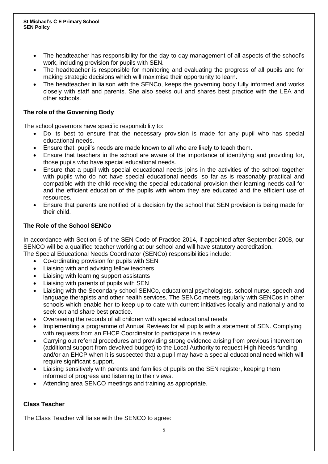- The headteacher has responsibility for the day-to-day management of all aspects of the school's work, including provision for pupils with SEN.
- The headteacher is responsible for monitoring and evaluating the progress of all pupils and for making strategic decisions which will maximise their opportunity to learn.
- The headteacher in liaison with the SENCo, keeps the governing body fully informed and works closely with staff and parents. She also seeks out and shares best practice with the LEA and other schools.

# **The role of the Governing Body**

The school governors have specific responsibility to:

- Do its best to ensure that the necessary provision is made for any pupil who has special educational needs.
- Ensure that, pupil's needs are made known to all who are likely to teach them.
- Ensure that teachers in the school are aware of the importance of identifying and providing for, those pupils who have special educational needs.
- Ensure that a pupil with special educational needs joins in the activities of the school together with pupils who do not have special educational needs, so far as is reasonably practical and compatible with the child receiving the special educational provision their learning needs call for and the efficient education of the pupils with whom they are educated and the efficient use of resources.
- Ensure that parents are notified of a decision by the school that SEN provision is being made for their child.

# **The Role of the School SENCo**

In accordance with Section 6 of the SEN Code of Practice 2014, if appointed after September 2008, our SENCO will be a qualified teacher working at our school and will have statutory accreditation.

The Special Educational Needs Coordinator (SENCo) responsibilities include:

- Co-ordinating provision for pupils with SEN
- Liaising with and advising fellow teachers
- Liaising with learning support assistants
- Liaising with parents of pupils with SEN
- Liaising with the Secondary school SENCo, educational psychologists, school nurse, speech and language therapists and other health services. The SENCo meets regularly with SENCos in other schools which enable her to keep up to date with current initiatives locally and nationally and to seek out and share best practice.
- Overseeing the records of all children with special educational needs
- Implementing a programme of Annual Reviews for all pupils with a statement of SEN. Complying with requests from an EHCP Coordinator to participate in a review
- Carrying out referral procedures and providing strong evidence arising from previous intervention (additional support from devolved budget) to the Local Authority to request High Needs funding and/or an EHCP when it is suspected that a pupil may have a special educational need which will require significant support.
- Liaising sensitively with parents and families of pupils on the SEN register, keeping them informed of progress and listening to their views.
- Attending area SENCO meetings and training as appropriate.

# **Class Teacher**

The Class Teacher will liaise with the SENCO to agree: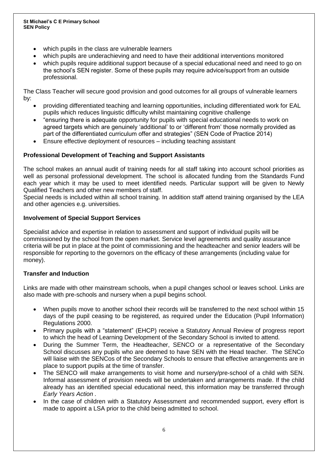- which pupils in the class are vulnerable learners
- which pupils are underachieving and need to have their additional interventions monitored
- which pupils require additional support because of a special educational need and need to go on the school's SEN register. Some of these pupils may require advice/support from an outside professional.

The Class Teacher will secure good provision and good outcomes for all groups of vulnerable learners by:

- providing differentiated teaching and learning opportunities, including differentiated work for EAL pupils which reduces linguistic difficulty whilst maintaining cognitive challenge
- "ensuring there is adequate opportunity for pupils with special educational needs to work on agreed targets which are genuinely 'additional' to or 'different from' those normally provided as part of the differentiated curriculum offer and strategies" (SEN Code of Practice 2014)
- Ensure effective deployment of resources including teaching assistant

## **Professional Development of Teaching and Support Assistants**

The school makes an annual audit of training needs for all staff taking into account school priorities as well as personal professional development. The school is allocated funding from the Standards Fund each year which it may be used to meet identified needs. Particular support will be given to Newly Qualified Teachers and other new members of staff.

Special needs is included within all school training. In addition staff attend training organised by the LEA and other agencies e.g. universities.

#### **Involvement of Special Support Services**

Specialist advice and expertise in relation to assessment and support of individual pupils will be commissioned by the school from the open market. Service level agreements and quality assurance criteria will be put in place at the point of commissioning and the headteacher and senior leaders will be responsible for reporting to the governors on the efficacy of these arrangements (including value for money).

## **Transfer and Induction**

Links are made with other mainstream schools, when a pupil changes school or leaves school. Links are also made with pre-schools and nursery when a pupil begins school.

- When pupils move to another school their records will be transferred to the next school within 15 days of the pupil ceasing to be registered, as required under the Education (Pupil Information) Regulations 2000.
- Primary pupils with a "statement" (EHCP) receive a Statutory Annual Review of progress report to which the head of Learning Development of the Secondary School is invited to attend.
- During the Summer Term, the Headteacher, SENCO or a representative of the Secondary School discusses any pupils who are deemed to have SEN with the Head teacher. The SENCo will liaise with the SENCos of the Secondary Schools to ensure that effective arrangements are in place to support pupils at the time of transfer.
- The SENCO will make arrangements to visit home and nursery/pre-school of a child with SEN. Informal assessment of provision needs will be undertaken and arrangements made. If the child already has an identified special educational need, this information may be transferred through *Early Years Action .*
- In the case of children with a Statutory Assessment and recommended support, every effort is made to appoint a LSA prior to the child being admitted to school.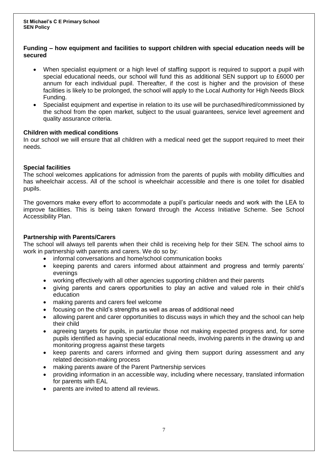## **Funding – how equipment and facilities to support children with special education needs will be secured**

- When specialist equipment or a high level of staffing support is required to support a pupil with special educational needs, our school will fund this as additional SEN support up to £6000 per annum for each individual pupil. Thereafter, if the cost is higher and the provision of these facilities is likely to be prolonged, the school will apply to the Local Authority for High Needs Block Funding.
- Specialist equipment and expertise in relation to its use will be purchased/hired/commissioned by the school from the open market, subject to the usual guarantees, service level agreement and quality assurance criteria.

## **Children with medical conditions**

In our school we will ensure that all children with a medical need get the support required to meet their needs.

# **Special facilities**

The school welcomes applications for admission from the parents of pupils with mobility difficulties and has wheelchair access. All of the school is wheelchair accessible and there is one toilet for disabled pupils.

The governors make every effort to accommodate a pupil's particular needs and work with the LEA to improve facilities. This is being taken forward through the Access Initiative Scheme. See School Accessibility Plan.

# **Partnership with Parents/Carers**

The school will always tell parents when their child is receiving help for their SEN. The school aims to work in partnership with parents and carers. We do so by:

- informal conversations and home/school communication books
- keeping parents and carers informed about attainment and progress and termly parents' evenings
- working effectively with all other agencies supporting children and their parents
- giving parents and carers opportunities to play an active and valued role in their child's education
- making parents and carers feel welcome
- focusing on the child's strengths as well as areas of additional need
- allowing parent and carer opportunities to discuss ways in which they and the school can help their child
- agreeing targets for pupils, in particular those not making expected progress and, for some pupils identified as having special educational needs, involving parents in the drawing up and monitoring progress against these targets
- keep parents and carers informed and giving them support during assessment and any related decision-making process
- making parents aware of the Parent Partnership services
- providing information in an accessible way, including where necessary, translated information for parents with EAL
- parents are invited to attend all reviews.